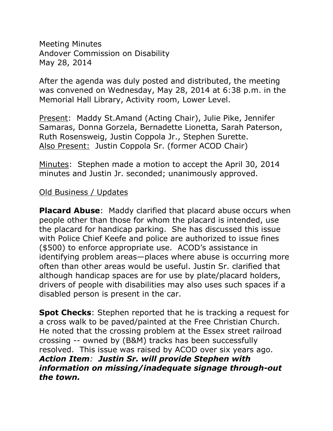Meeting Minutes Andover Commission on Disability May 28, 2014

After the agenda was duly posted and distributed, the meeting was convened on Wednesday, May 28, 2014 at 6:38 p.m. in the Memorial Hall Library, Activity room, Lower Level.

Present: Maddy St.Amand (Acting Chair), Julie Pike, Jennifer Samaras, Donna Gorzela, Bernadette Lionetta, Sarah Paterson, Ruth Rosensweig, Justin Coppola Jr., Stephen Surette. Also Present: Justin Coppola Sr. (former ACOD Chair)

Minutes: Stephen made a motion to accept the April 30, 2014 minutes and Justin Jr. seconded; unanimously approved.

## Old Business / Updates

**Placard Abuse:** Maddy clarified that placard abuse occurs when people other than those for whom the placard is intended, use the placard for handicap parking. She has discussed this issue with Police Chief Keefe and police are authorized to issue fines (\$500) to enforce appropriate use. ACOD's assistance in identifying problem areas—places where abuse is occurring more often than other areas would be useful. Justin Sr. clarified that although handicap spaces are for use by plate/placard holders, drivers of people with disabilities may also uses such spaces if a disabled person is present in the car.

**Spot Checks**: Stephen reported that he is tracking a request for a cross walk to be paved/painted at the Free Christian Church. He noted that the crossing problem at the Essex street railroad crossing -- owned by (B&M) tracks has been successfully resolved. This issue was raised by ACOD over six years ago. *Action Item: Justin Sr. will provide Stephen with information on missing/inadequate signage through-out the town.*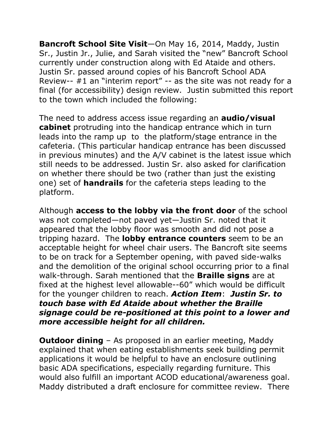**Bancroft School Site Visit**—On May 16, 2014, Maddy, Justin Sr., Justin Jr., Julie, and Sarah visited the "new" Bancroft School currently under construction along with Ed Ataide and others. Justin Sr. passed around copies of his Bancroft School ADA Review-- #1 an "interim report" -- as the site was not ready for a final (for accessibility) design review. Justin submitted this report to the town which included the following:

The need to address access issue regarding an **audio/visual cabinet** protruding into the handicap entrance which in turn leads into the ramp upto the platform/stage entrance in the cafeteria. (This particular handicap entrance has been discussed in previous minutes) and the A/V cabinet is the latest issue which still needs to be addressed. Justin Sr. also asked for clarification on whether there should be two (rather than just the existing one) set of **handrails** for the cafeteria steps leading to the platform.

Although **access to the lobby via the front door** of the school was not completed—not paved yet—Justin Sr. noted that it appeared that the lobby floor was smooth and did not pose a tripping hazard. The **lobby entrance counters** seem to be an acceptable height for wheel chair users. The Bancroft site seems to be on track for a September opening, with paved side-walks and the demolition of the original school occurring prior to a final walk-through. Sarah mentioned that the **Braille signs** are at fixed at the highest level allowable--60" which would be difficult for the younger children to reach. *Action Item*: *Justin Sr. to touch base with Ed Ataide about whether the Braille signage could be re-positioned at this point to a lower and more accessible height for all children.*

**Outdoor dining** – As proposed in an earlier meeting, Maddy explained that when eating establishments seek building permit applications it would be helpful to have an enclosure outlining basic ADA specifications, especially regarding furniture. This would also fulfill an important ACOD educational/awareness goal. Maddy distributed a draft enclosure for committee review. There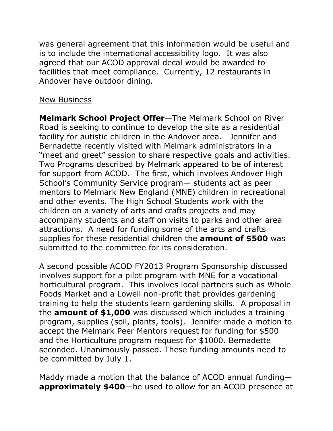was general agreement that this information would be useful and is to include the international accessibility logo. It was also agreed that our ACOD approval decal would be awarded to facilities that meet compliance. Currently, 12 restaurants in Andover have outdoor dining.

## New Business

**Melmark School Project Offer**—The Melmark School on River Road is seeking to continue to develop the site as a residential facility for autistic children in the Andover area. Jennifer and Bernadette recently visited with Melmark administrators in a "meet and greet" session to share respective goals and activities. Two Programs described by Melmark appeared to be of interest for support from ACOD. The first, which involves Andover High School's Community Service program— students act as peer mentors to Melmark New England (MNE) children in recreational and other events. The High School Students work with the children on a variety of arts and crafts projects and may accompany students and staff on visits to parks and other area attractions. A need for funding some of the arts and crafts supplies for these residential children the **amount of \$500** was submitted to the committee for its consideration.

A second possible ACOD FY2013 Program Sponsorship discussed involves support for a pilot program with MNE for a vocational horticultural program. This involves local partners such as Whole Foods Market and a Lowell non-profit that provides gardening training to help the students learn gardening skills. A proposal in the **amount of \$1,000** was discussed which includes a training program, supplies (soil, plants, tools). Jennifer made a motion to accept the Melmark Peer Mentors request for funding for \$500 and the Horticulture program request for \$1000. Bernadette seconded. Unanimously passed. These funding amounts need to be committed by July 1.

Maddy made a motion that the balance of ACOD annual funding **approximately \$400**—be used to allow for an ACOD presence at